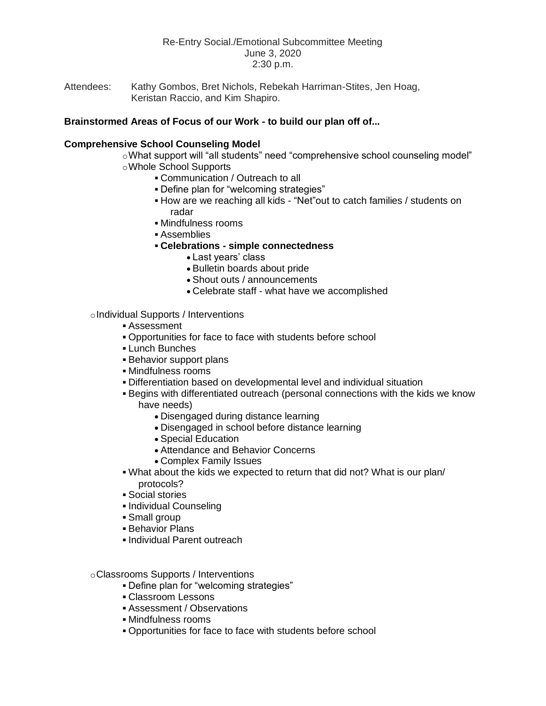# Re-Entry Social./Emotional Subcommittee Meeting June 3, 2020 2:30 p.m.

Attendees: Kathy Gombos, Bret Nichols, Rebekah Harriman-Stites, Jen Hoag, Keristan Raccio, and Kim Shapiro.

## **Brainstormed Areas of Focus of our Work - to build our plan off of...**

## **Comprehensive School Counseling Model**

- oWhat support will "all students" need "comprehensive school counseling model" oWhole School Supports
	- Communication / Outreach to all
	- Define plan for "welcoming strategies"
	- How are we reaching all kids "Net"out to catch families / students on radar
	- Mindfulness rooms
	- Assemblies
	- **Celebrations - simple connectedness** 
		- Last years' class
		- Bulletin boards about pride
		- Shout outs / announcements
		- Celebrate staff what have we accomplished

#### oIndividual Supports / Interventions

- Assessment
- Opportunities for face to face with students before school
- **Lunch Bunches**
- **Behavior support plans**
- Mindfulness rooms
- Differentiation based on developmental level and individual situation
- Begins with differentiated outreach (personal connections with the kids we know have needs)
	- Disengaged during distance learning
	- Disengaged in school before distance learning
	- Special Education
	- Attendance and Behavior Concerns
	- Complex Family Issues
- What about the kids we expected to return that did not? What is our plan/ protocols?
- Social stories
- **Individual Counseling**
- Small group
- **Behavior Plans**
- **Individual Parent outreach**
- oClassrooms Supports / Interventions
	- Define plan for "welcoming strategies"
	- Classroom Lessons
	- Assessment / Observations
	- Mindfulness rooms
	- Opportunities for face to face with students before school